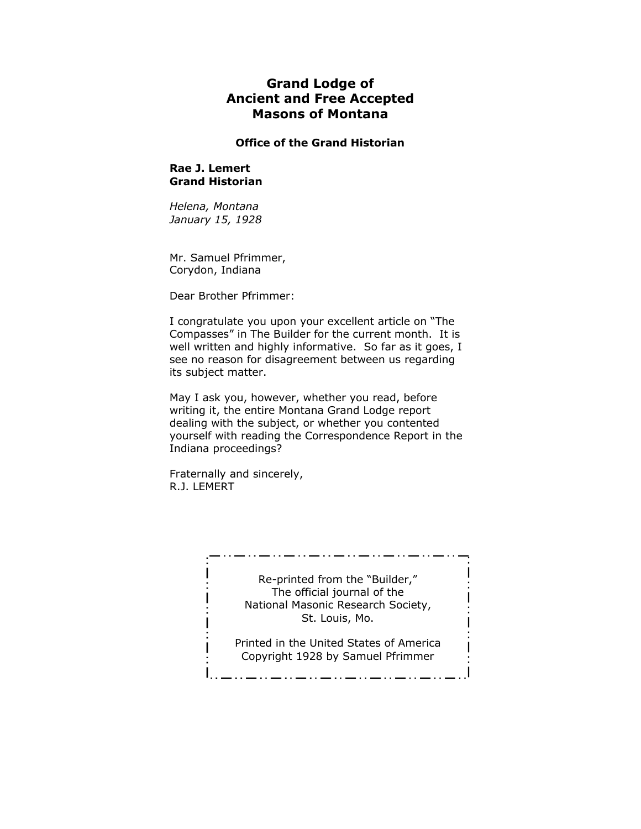# **Grand Lodge of Ancient and Free Accepted Masons of Montana**

# **Office of the Grand Historian**

# **Rae J. Lemert Grand Historian**

*Helena, Montana January 15, 1928*

Mr. Samuel Pfrimmer, Corydon, Indiana

Dear Brother Pfrimmer:

I congratulate you upon your excellent article on "The Compasses" in The Builder for the current month. It is well written and highly informative. So far as it goes, I see no reason for disagreement between us regarding its subject matter.

May I ask you, however, whether you read, before writing it, the entire Montana Grand Lodge report dealing with the subject, or whether you contented yourself with reading the Correspondence Report in the Indiana proceedings?

Fraternally and sincerely, R.J. LEMERT

> Re-printed from the "Builder," The official journal of the National Masonic Research Society, St. Louis, Mo.

المصمصمصية والمتحدث والمتحدث والمتحدث

Printed in the United States of America Copyright 1928 by Samuel Pfrimmer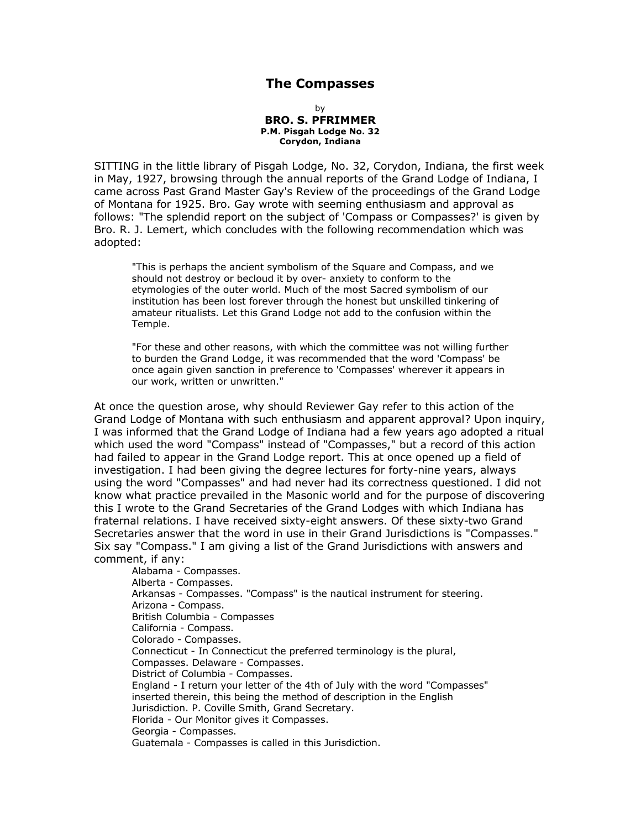# **The Compasses**

by **BRO. S. PFRIMMER P.M. Pisgah Lodge No. 32 Corydon, Indiana**

SITTING in the little library of Pisgah Lodge, No. 32, Corydon, Indiana, the first week in May, 1927, browsing through the annual reports of the Grand Lodge of Indiana, I came across Past Grand Master Gay's Review of the proceedings of the Grand Lodge of Montana for 1925. Bro. Gay wrote with seeming enthusiasm and approval as follows: "The splendid report on the subject of 'Compass or Compasses?' is given by Bro. R. J. Lemert, which concludes with the following recommendation which was adopted:

"This is perhaps the ancient symbolism of the Square and Compass, and we should not destroy or becloud it by over- anxiety to conform to the etymologies of the outer world. Much of the most Sacred symbolism of our institution has been lost forever through the honest but unskilled tinkering of amateur ritualists. Let this Grand Lodge not add to the confusion within the Temple.

"For these and other reasons, with which the committee was not willing further to burden the Grand Lodge, it was recommended that the word 'Compass' be once again given sanction in preference to 'Compasses' wherever it appears in our work, written or unwritten."

At once the question arose, why should Reviewer Gay refer to this action of the Grand Lodge of Montana with such enthusiasm and apparent approval? Upon inquiry, I was informed that the Grand Lodge of Indiana had a few years ago adopted a ritual which used the word "Compass" instead of "Compasses," but a record of this action had failed to appear in the Grand Lodge report. This at once opened up a field of investigation. I had been giving the degree lectures for forty-nine years, always using the word "Compasses" and had never had its correctness questioned. I did not know what practice prevailed in the Masonic world and for the purpose of discovering this I wrote to the Grand Secretaries of the Grand Lodges with which Indiana has fraternal relations. I have received sixty-eight answers. Of these sixty-two Grand Secretaries answer that the word in use in their Grand Jurisdictions is "Compasses." Six say "Compass." I am giving a list of the Grand Jurisdictions with answers and comment, if any:

Alabama - Compasses. Alberta - Compasses. Arkansas - Compasses. "Compass" is the nautical instrument for steering. Arizona - Compass. British Columbia - Compasses California - Compass. Colorado - Compasses. Connecticut - In Connecticut the preferred terminology is the plural, Compasses. Delaware - Compasses. District of Columbia - Compasses. England - I return your letter of the 4th of July with the word "Compasses" inserted therein, this being the method of description in the English Jurisdiction. P. Coville Smith, Grand Secretary. Florida - Our Monitor gives it Compasses. Georgia - Compasses. Guatemala - Compasses is called in this Jurisdiction.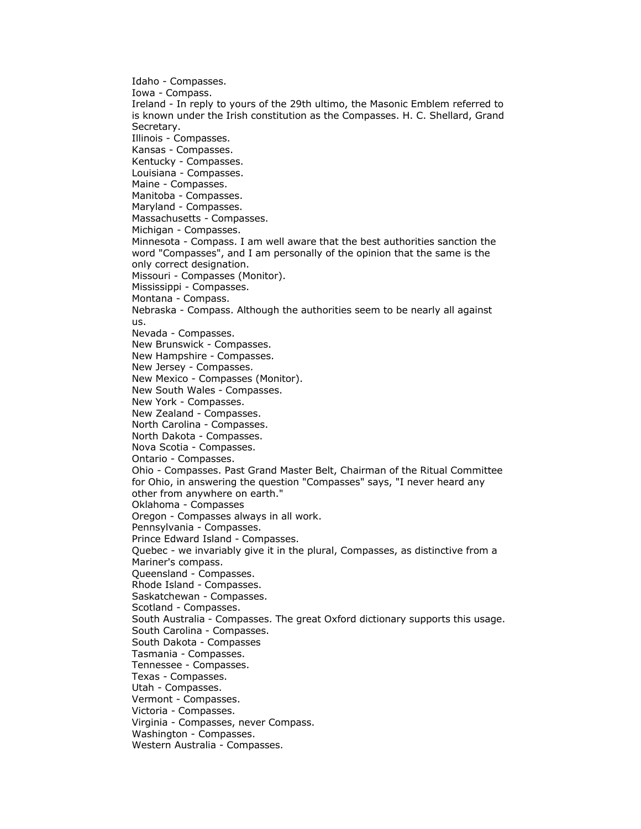Idaho - Compasses. Iowa - Compass. Ireland - In reply to yours of the 29th ultimo, the Masonic Emblem referred to is known under the Irish constitution as the Compasses. H. C. Shellard, Grand Secretary. Illinois - Compasses. Kansas - Compasses. Kentucky - Compasses. Louisiana - Compasses. Maine - Compasses. Manitoba - Compasses. Maryland - Compasses. Massachusetts - Compasses. Michigan - Compasses. Minnesota - Compass. I am well aware that the best authorities sanction the word "Compasses", and I am personally of the opinion that the same is the only correct designation. Missouri - Compasses (Monitor). Mississippi - Compasses. Montana - Compass. Nebraska - Compass. Although the authorities seem to be nearly all against us. Nevada - Compasses. New Brunswick - Compasses. New Hampshire - Compasses. New Jersey - Compasses. New Mexico - Compasses (Monitor). New South Wales - Compasses. New York - Compasses. New Zealand - Compasses. North Carolina - Compasses. North Dakota - Compasses. Nova Scotia - Compasses. Ontario - Compasses. Ohio - Compasses. Past Grand Master Belt, Chairman of the Ritual Committee for Ohio, in answering the question "Compasses" says, "I never heard any other from anywhere on earth." Oklahoma - Compasses Oregon - Compasses always in all work. Pennsylvania - Compasses. Prince Edward Island - Compasses. Quebec - we invariably give it in the plural, Compasses, as distinctive from a Mariner's compass. Queensland - Compasses. Rhode Island - Compasses. Saskatchewan - Compasses. Scotland - Compasses. South Australia - Compasses. The great Oxford dictionary supports this usage. South Carolina - Compasses. South Dakota - Compasses Tasmania - Compasses. Tennessee - Compasses. Texas - Compasses. Utah - Compasses. Vermont - Compasses. Victoria - Compasses. Virginia - Compasses, never Compass. Washington - Compasses. Western Australia - Compasses.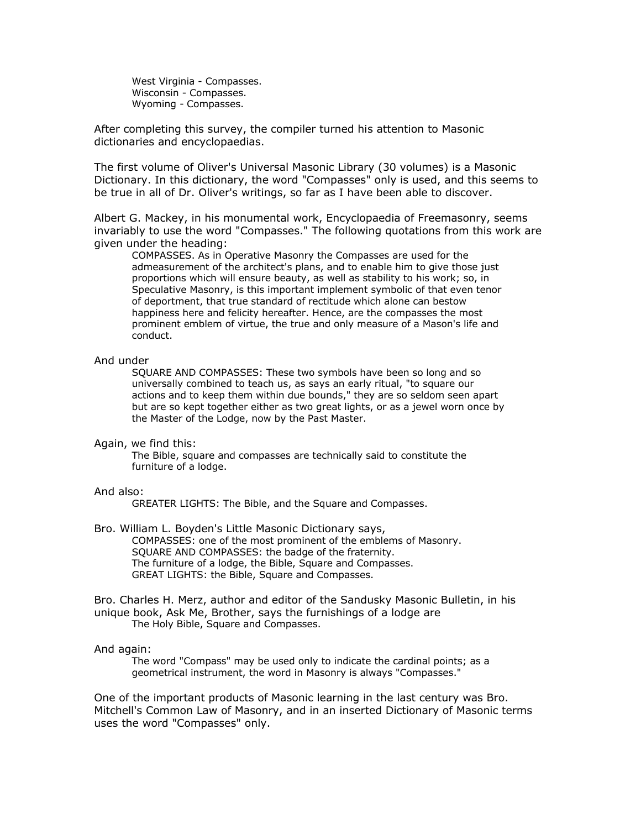West Virginia - Compasses. Wisconsin - Compasses. Wyoming - Compasses.

After completing this survey, the compiler turned his attention to Masonic dictionaries and encyclopaedias.

The first volume of Oliver's Universal Masonic Library (30 volumes) is a Masonic Dictionary. In this dictionary, the word "Compasses" only is used, and this seems to be true in all of Dr. Oliver's writings, so far as I have been able to discover.

Albert G. Mackey, in his monumental work, Encyclopaedia of Freemasonry, seems invariably to use the word "Compasses." The following quotations from this work are given under the heading:

COMPASSES. As in Operative Masonry the Compasses are used for the admeasurement of the architect's plans, and to enable him to give those just proportions which will ensure beauty, as well as stability to his work; so, in Speculative Masonry, is this important implement symbolic of that even tenor of deportment, that true standard of rectitude which alone can bestow happiness here and felicity hereafter. Hence, are the compasses the most prominent emblem of virtue, the true and only measure of a Mason's life and conduct.

## And under

SQUARE AND COMPASSES: These two symbols have been so long and so universally combined to teach us, as says an early ritual, "to square our actions and to keep them within due bounds," they are so seldom seen apart but are so kept together either as two great lights, or as a jewel worn once by the Master of the Lodge, now by the Past Master.

## Again, we find this:

The Bible, square and compasses are technically said to constitute the furniture of a lodge.

## And also:

GREATER LIGHTS: The Bible, and the Square and Compasses.

Bro. William L. Boyden's Little Masonic Dictionary says, COMPASSES: one of the most prominent of the emblems of Masonry. SQUARE AND COMPASSES: the badge of the fraternity. The furniture of a lodge, the Bible, Square and Compasses. GREAT LIGHTS: the Bible, Square and Compasses.

Bro. Charles H. Merz, author and editor of the Sandusky Masonic Bulletin, in his unique book, Ask Me, Brother, says the furnishings of a lodge are The Holy Bible, Square and Compasses.

## And again:

The word "Compass" may be used only to indicate the cardinal points; as a geometrical instrument, the word in Masonry is always "Compasses."

One of the important products of Masonic learning in the last century was Bro. Mitchell's Common Law of Masonry, and in an inserted Dictionary of Masonic terms uses the word "Compasses" only.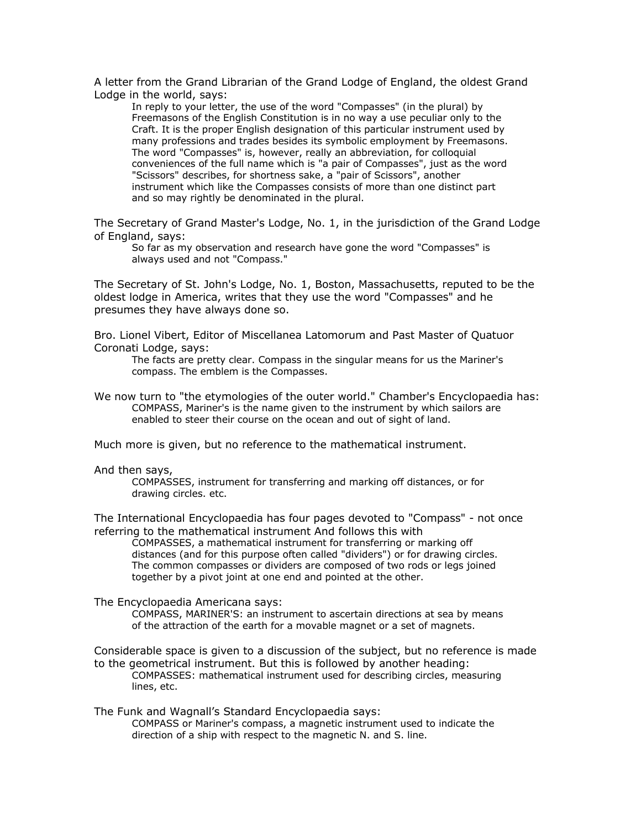A letter from the Grand Librarian of the Grand Lodge of England, the oldest Grand Lodge in the world, says:

In reply to your letter, the use of the word "Compasses" (in the plural) by Freemasons of the English Constitution is in no way a use peculiar only to the Craft. It is the proper English designation of this particular instrument used by many professions and trades besides its symbolic employment by Freemasons. The word "Compasses" is, however, really an abbreviation, for colloquial conveniences of the full name which is "a pair of Compasses", just as the word "Scissors" describes, for shortness sake, a "pair of Scissors", another instrument which like the Compasses consists of more than one distinct part and so may rightly be denominated in the plural.

The Secretary of Grand Master's Lodge, No. 1, in the jurisdiction of the Grand Lodge of England, says:

So far as my observation and research have gone the word "Compasses" is always used and not "Compass."

The Secretary of St. John's Lodge, No. 1, Boston, Massachusetts, reputed to be the oldest lodge in America, writes that they use the word "Compasses" and he presumes they have always done so.

Bro. Lionel Vibert, Editor of Miscellanea Latomorum and Past Master of Quatuor Coronati Lodge, says:

The facts are pretty clear. Compass in the singular means for us the Mariner's compass. The emblem is the Compasses.

We now turn to "the etymologies of the outer world." Chamber's Encyclopaedia has: COMPASS, Mariner's is the name given to the instrument by which sailors are enabled to steer their course on the ocean and out of sight of land.

Much more is given, but no reference to the mathematical instrument.

#### And then says,

COMPASSES, instrument for transferring and marking off distances, or for drawing circles. etc.

The International Encyclopaedia has four pages devoted to "Compass" - not once referring to the mathematical instrument And follows this with

COMPASSES, a mathematical instrument for transferring or marking off distances (and for this purpose often called "dividers") or for drawing circles. The common compasses or dividers are composed of two rods or legs joined together by a pivot joint at one end and pointed at the other.

The Encyclopaedia Americana says:

COMPASS, MARINER'S: an instrument to ascertain directions at sea by means of the attraction of the earth for a movable magnet or a set of magnets.

Considerable space is given to a discussion of the subject, but no reference is made to the geometrical instrument. But this is followed by another heading: COMPASSES: mathematical instrument used for describing circles, measuring lines, etc.

The Funk and Wagnall's Standard Encyclopaedia says:

COMPASS or Mariner's compass, a magnetic instrument used to indicate the direction of a ship with respect to the magnetic N. and S. line.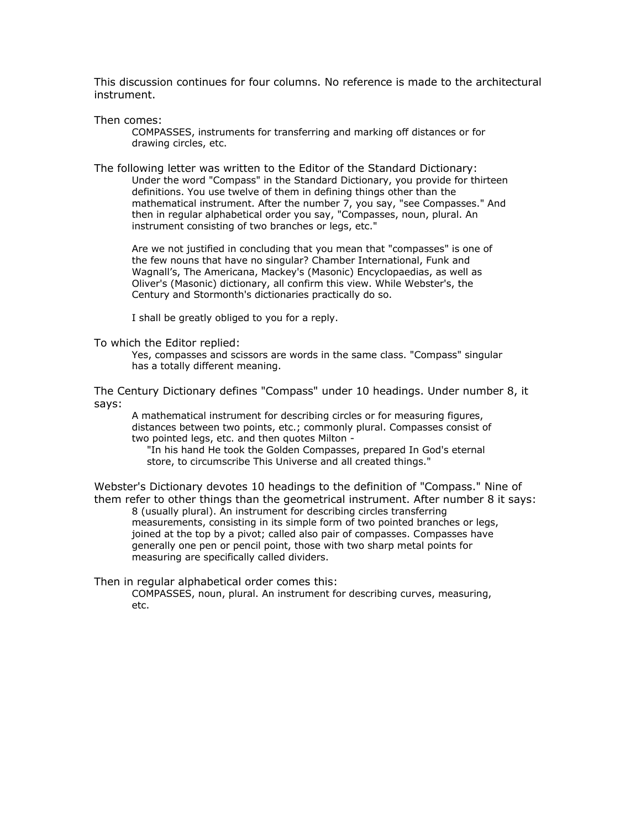This discussion continues for four columns. No reference is made to the architectural instrument.

Then comes:

COMPASSES, instruments for transferring and marking off distances or for drawing circles, etc.

The following letter was written to the Editor of the Standard Dictionary: Under the word "Compass" in the Standard Dictionary, you provide for thirteen definitions. You use twelve of them in defining things other than the mathematical instrument. After the number 7, you say, "see Compasses." And then in regular alphabetical order you say, "Compasses, noun, plural. An instrument consisting of two branches or legs, etc."

Are we not justified in concluding that you mean that "compasses" is one of the few nouns that have no singular? Chamber International, Funk and Wagnall's, The Americana, Mackey's (Masonic) Encyclopaedias, as well as Oliver's (Masonic) dictionary, all confirm this view. While Webster's, the Century and Stormonth's dictionaries practically do so.

I shall be greatly obliged to you for a reply.

To which the Editor replied:

Yes, compasses and scissors are words in the same class. "Compass" singular has a totally different meaning.

The Century Dictionary defines "Compass" under 10 headings. Under number 8, it says:

A mathematical instrument for describing circles or for measuring figures, distances between two points, etc.; commonly plural. Compasses consist of two pointed legs, etc. and then quotes Milton -

"In his hand He took the Golden Compasses, prepared In God's eternal store, to circumscribe This Universe and all created things."

Webster's Dictionary devotes 10 headings to the definition of "Compass." Nine of them refer to other things than the geometrical instrument. After number 8 it says:

8 (usually plural). An instrument for describing circles transferring measurements, consisting in its simple form of two pointed branches or legs, joined at the top by a pivot; called also pair of compasses. Compasses have generally one pen or pencil point, those with two sharp metal points for measuring are specifically called dividers.

Then in regular alphabetical order comes this:

COMPASSES, noun, plural. An instrument for describing curves, measuring, etc.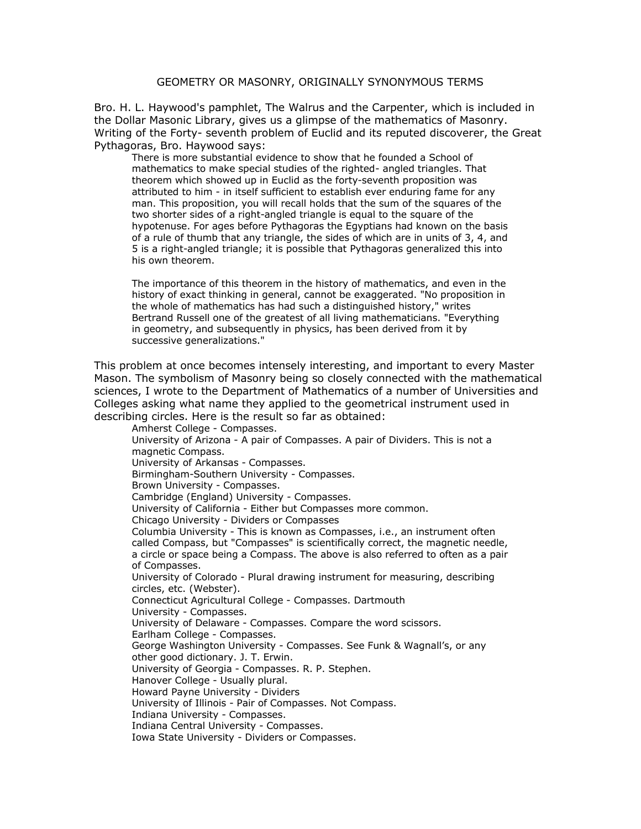# GEOMETRY OR MASONRY, ORIGINALLY SYNONYMOUS TERMS

Bro. H. L. Haywood's pamphlet, The Walrus and the Carpenter, which is included in the Dollar Masonic Library, gives us a glimpse of the mathematics of Masonry. Writing of the Forty- seventh problem of Euclid and its reputed discoverer, the Great Pythagoras, Bro. Haywood says:

There is more substantial evidence to show that he founded a School of mathematics to make special studies of the righted- angled triangles. That theorem which showed up in Euclid as the forty-seventh proposition was attributed to him - in itself sufficient to establish ever enduring fame for any man. This proposition, you will recall holds that the sum of the squares of the two shorter sides of a right-angled triangle is equal to the square of the hypotenuse. For ages before Pythagoras the Egyptians had known on the basis of a rule of thumb that any triangle, the sides of which are in units of 3, 4, and 5 is a right-angled triangle; it is possible that Pythagoras generalized this into his own theorem.

The importance of this theorem in the history of mathematics, and even in the history of exact thinking in general, cannot be exaggerated. "No proposition in the whole of mathematics has had such a distinguished history," writes Bertrand Russell one of the greatest of all living mathematicians. "Everything in geometry, and subsequently in physics, has been derived from it by successive generalizations."

This problem at once becomes intensely interesting, and important to every Master Mason. The symbolism of Masonry being so closely connected with the mathematical sciences, I wrote to the Department of Mathematics of a number of Universities and Colleges asking what name they applied to the geometrical instrument used in describing circles. Here is the result so far as obtained:

Amherst College - Compasses. University of Arizona - A pair of Compasses. A pair of Dividers. This is not a magnetic Compass. University of Arkansas - Compasses. Birmingham-Southern University - Compasses. Brown University - Compasses. Cambridge (England) University - Compasses. University of California - Either but Compasses more common. Chicago University - Dividers or Compasses Columbia University - This is known as Compasses, i.e., an instrument often called Compass, but "Compasses" is scientifically correct, the magnetic needle, a circle or space being a Compass. The above is also referred to often as a pair of Compasses. University of Colorado - Plural drawing instrument for measuring, describing circles, etc. (Webster). Connecticut Agricultural College - Compasses. Dartmouth University - Compasses. University of Delaware - Compasses. Compare the word scissors. Earlham College - Compasses. George Washington University - Compasses. See Funk & Wagnall's, or any other good dictionary. J. T. Erwin. University of Georgia - Compasses. R. P. Stephen. Hanover College - Usually plural. Howard Payne University - Dividers University of Illinois - Pair of Compasses. Not Compass. Indiana University - Compasses. Indiana Central University - Compasses. Iowa State University - Dividers or Compasses.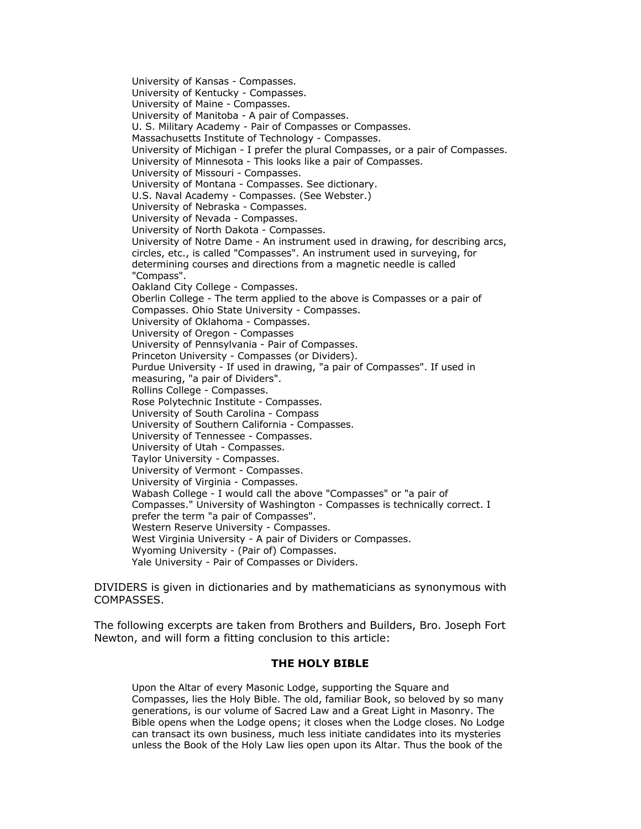University of Kansas - Compasses. University of Kentucky - Compasses. University of Maine - Compasses. University of Manitoba - A pair of Compasses. U. S. Military Academy - Pair of Compasses or Compasses. Massachusetts Institute of Technology - Compasses. University of Michigan - I prefer the plural Compasses, or a pair of Compasses. University of Minnesota - This looks like a pair of Compasses. University of Missouri - Compasses. University of Montana - Compasses. See dictionary. U.S. Naval Academy - Compasses. (See Webster.) University of Nebraska - Compasses. University of Nevada - Compasses. University of North Dakota - Compasses. University of Notre Dame - An instrument used in drawing, for describing arcs, circles, etc., is called "Compasses". An instrument used in surveying, for determining courses and directions from a magnetic needle is called "Compass". Oakland City College - Compasses. Oberlin College - The term applied to the above is Compasses or a pair of Compasses. Ohio State University - Compasses. University of Oklahoma - Compasses. University of Oregon - Compasses University of Pennsylvania - Pair of Compasses. Princeton University - Compasses (or Dividers). Purdue University - If used in drawing, "a pair of Compasses". If used in measuring, "a pair of Dividers". Rollins College - Compasses. Rose Polytechnic Institute - Compasses. University of South Carolina - Compass University of Southern California - Compasses. University of Tennessee - Compasses. University of Utah - Compasses. Taylor University - Compasses. University of Vermont - Compasses. University of Virginia - Compasses. Wabash College - I would call the above "Compasses" or "a pair of Compasses." University of Washington - Compasses is technically correct. I prefer the term "a pair of Compasses". Western Reserve University - Compasses. West Virginia University - A pair of Dividers or Compasses. Wyoming University - (Pair of) Compasses. Yale University - Pair of Compasses or Dividers.

DIVIDERS is given in dictionaries and by mathematicians as synonymous with COMPASSES.

The following excerpts are taken from Brothers and Builders, Bro. Joseph Fort Newton, and will form a fitting conclusion to this article:

### **THE HOLY BIBLE**

Upon the Altar of every Masonic Lodge, supporting the Square and Compasses, lies the Holy Bible. The old, familiar Book, so beloved by so many generations, is our volume of Sacred Law and a Great Light in Masonry. The Bible opens when the Lodge opens; it closes when the Lodge closes. No Lodge can transact its own business, much less initiate candidates into its mysteries unless the Book of the Holy Law lies open upon its Altar. Thus the book of the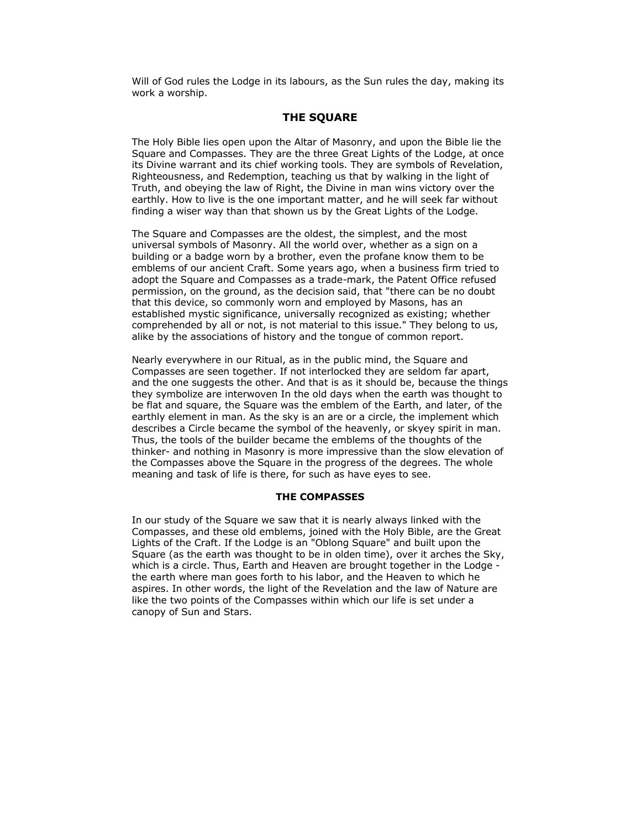Will of God rules the Lodge in its labours, as the Sun rules the day, making its work a worship.

# **THE SQUARE**

The Holy Bible lies open upon the Altar of Masonry, and upon the Bible lie the Square and Compasses. They are the three Great Lights of the Lodge, at once its Divine warrant and its chief working tools. They are symbols of Revelation, Righteousness, and Redemption, teaching us that by walking in the light of Truth, and obeying the law of Right, the Divine in man wins victory over the earthly. How to live is the one important matter, and he will seek far without finding a wiser way than that shown us by the Great Lights of the Lodge.

The Square and Compasses are the oldest, the simplest, and the most universal symbols of Masonry. All the world over, whether as a sign on a building or a badge worn by a brother, even the profane know them to be emblems of our ancient Craft. Some years ago, when a business firm tried to adopt the Square and Compasses as a trade-mark, the Patent Office refused permission, on the ground, as the decision said, that "there can be no doubt that this device, so commonly worn and employed by Masons, has an established mystic significance, universally recognized as existing; whether comprehended by all or not, is not material to this issue." They belong to us, alike by the associations of history and the tongue of common report.

Nearly everywhere in our Ritual, as in the public mind, the Square and Compasses are seen together. If not interlocked they are seldom far apart, and the one suggests the other. And that is as it should be, because the things they symbolize are interwoven In the old days when the earth was thought to be flat and square, the Square was the emblem of the Earth, and later, of the earthly element in man. As the sky is an are or a circle, the implement which describes a Circle became the symbol of the heavenly, or skyey spirit in man. Thus, the tools of the builder became the emblems of the thoughts of the thinker- and nothing in Masonry is more impressive than the slow elevation of the Compasses above the Square in the progress of the degrees. The whole meaning and task of life is there, for such as have eyes to see.

### **THE COMPASSES**

In our study of the Square we saw that it is nearly always linked with the Compasses, and these old emblems, joined with the Holy Bible, are the Great Lights of the Craft. If the Lodge is an "Oblong Square" and built upon the Square (as the earth was thought to be in olden time), over it arches the Sky, which is a circle. Thus, Earth and Heaven are brought together in the Lodge the earth where man goes forth to his labor, and the Heaven to which he aspires. In other words, the light of the Revelation and the law of Nature are like the two points of the Compasses within which our life is set under a canopy of Sun and Stars.